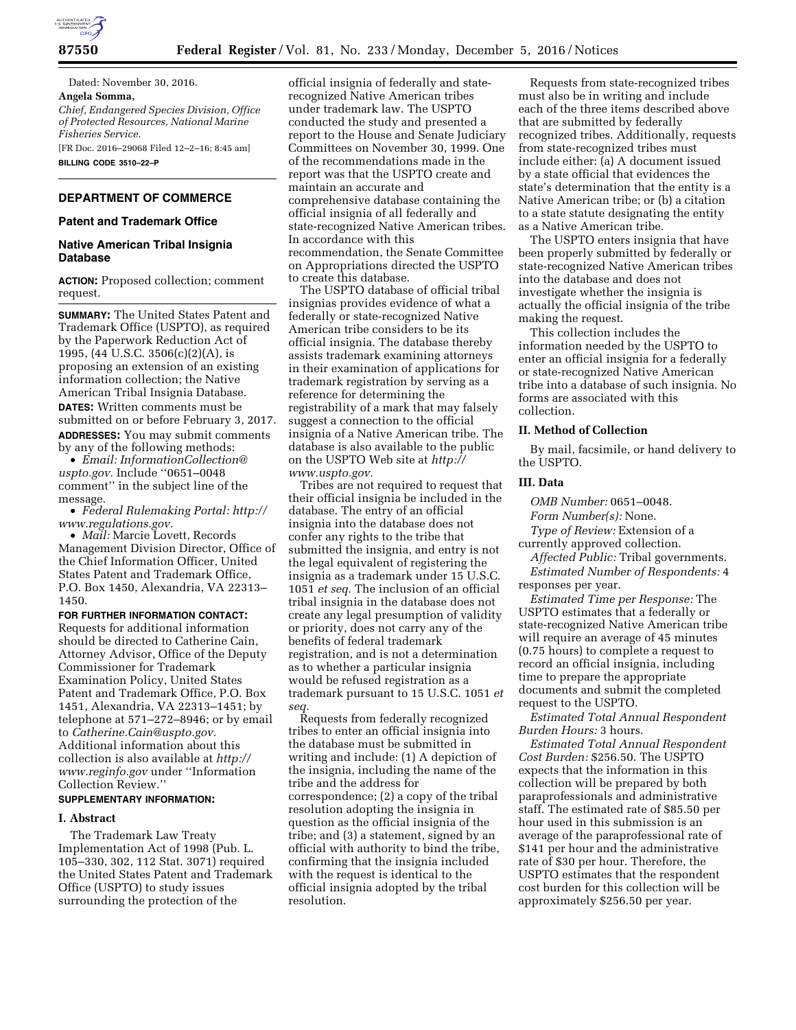

Dated: November 30, 2016. **Angela Somma,**  *Chief, Endangered Species Division, Office of Protected Resources, National Marine Fisheries Service.*  [FR Doc. 2016–29068 Filed 12–2–16; 8:45 am] **BILLING CODE 3510–22–P** 

## **DEPARTMENT OF COMMERCE**

### **Patent and Trademark Office**

## **Native American Tribal Insignia Database**

**ACTION:** Proposed collection; comment request.

**SUMMARY:** The United States Patent and Trademark Office (USPTO), as required by the Paperwork Reduction Act of 1995, (44 U.S.C. 3506(c)(2)(A), is proposing an extension of an existing information collection; the Native American Tribal Insignia Database. **DATES:** Written comments must be submitted on or before February 3, 2017. **ADDRESSES:** You may submit comments by any of the following methods:

• *Email: [InformationCollection@](mailto:InformationCollection@uspto.gov) [uspto.gov.](mailto:InformationCollection@uspto.gov)* Include ''0651–0048 comment'' in the subject line of the message.

• *Federal Rulemaking Portal: [http://](http://www.regulations.gov) [www.regulations.gov.](http://www.regulations.gov)* 

• *Mail:* Marcie Lovett, Records Management Division Director, Office of the Chief Information Officer, United States Patent and Trademark Office, P.O. Box 1450, Alexandria, VA 22313– 1450.

## **FOR FURTHER INFORMATION CONTACT:**

Requests for additional information should be directed to Catherine Cain, Attorney Advisor, Office of the Deputy Commissioner for Trademark Examination Policy, United States Patent and Trademark Office, P.O. Box 1451, Alexandria, VA 22313–1451; by telephone at 571–272–8946; or by email to *[Catherine.Cain@uspto.gov.](mailto:Catherine.Cain@uspto.gov)*  Additional information about this collection is also available at *[http://](http://www.reginfo.gov) [www.reginfo.gov](http://www.reginfo.gov)* under ''Information Collection Review.''

### **SUPPLEMENTARY INFORMATION:**

#### **I. Abstract**

The Trademark Law Treaty Implementation Act of 1998 (Pub. L. 105–330, 302, 112 Stat. 3071) required the United States Patent and Trademark Office (USPTO) to study issues surrounding the protection of the

official insignia of federally and staterecognized Native American tribes under trademark law. The USPTO conducted the study and presented a report to the House and Senate Judiciary Committees on November 30, 1999. One of the recommendations made in the report was that the USPTO create and maintain an accurate and comprehensive database containing the official insignia of all federally and state-recognized Native American tribes. In accordance with this recommendation, the Senate Committee on Appropriations directed the USPTO to create this database.

The USPTO database of official tribal insignias provides evidence of what a federally or state-recognized Native American tribe considers to be its official insignia. The database thereby assists trademark examining attorneys in their examination of applications for trademark registration by serving as a reference for determining the registrability of a mark that may falsely suggest a connection to the official insignia of a Native American tribe. The database is also available to the public on the USPTO Web site at *[http://](http://www.uspto.gov) [www.uspto.gov.](http://www.uspto.gov)* 

Tribes are not required to request that their official insignia be included in the database. The entry of an official insignia into the database does not confer any rights to the tribe that submitted the insignia, and entry is not the legal equivalent of registering the insignia as a trademark under 15 U.S.C. 1051 *et seq.* The inclusion of an official tribal insignia in the database does not create any legal presumption of validity or priority, does not carry any of the benefits of federal trademark registration, and is not a determination as to whether a particular insignia would be refused registration as a trademark pursuant to 15 U.S.C. 1051 *et seq.* 

Requests from federally recognized tribes to enter an official insignia into the database must be submitted in writing and include: (1) A depiction of the insignia, including the name of the tribe and the address for correspondence; (2) a copy of the tribal resolution adopting the insignia in question as the official insignia of the tribe; and (3) a statement, signed by an official with authority to bind the tribe, confirming that the insignia included with the request is identical to the official insignia adopted by the tribal resolution.

Requests from state-recognized tribes must also be in writing and include each of the three items described above that are submitted by federally recognized tribes. Additionally, requests from state-recognized tribes must include either: (a) A document issued by a state official that evidences the state's determination that the entity is a Native American tribe; or (b) a citation to a state statute designating the entity as a Native American tribe.

The USPTO enters insignia that have been properly submitted by federally or state-recognized Native American tribes into the database and does not investigate whether the insignia is actually the official insignia of the tribe making the request.

This collection includes the information needed by the USPTO to enter an official insignia for a federally or state-recognized Native American tribe into a database of such insignia. No forms are associated with this collection.

## **II. Method of Collection**

By mail, facsimile, or hand delivery to the USPTO.

#### **III. Data**

*OMB Number:* 0651–0048. *Form Number(s):* None.

*Type of Review:* Extension of a currently approved collection.

*Affected Public:* Tribal governments. *Estimated Number of Respondents:* 4 responses per year.

*Estimated Time per Response:* The USPTO estimates that a federally or state-recognized Native American tribe will require an average of 45 minutes (0.75 hours) to complete a request to record an official insignia, including time to prepare the appropriate documents and submit the completed request to the USPTO.

*Estimated Total Annual Respondent Burden Hours:* 3 hours.

*Estimated Total Annual Respondent Cost Burden:* \$256.50. The USPTO expects that the information in this collection will be prepared by both paraprofessionals and administrative staff. The estimated rate of \$85.50 per hour used in this submission is an average of the paraprofessional rate of \$141 per hour and the administrative rate of \$30 per hour. Therefore, the USPTO estimates that the respondent cost burden for this collection will be approximately \$256.50 per year.